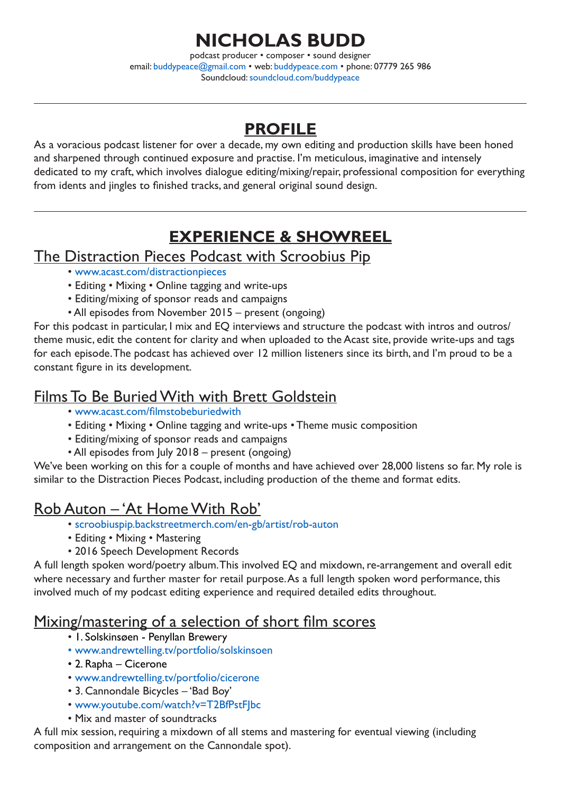# **NICHOLAS BUDD**

podcast producer • composer • sound designer email: [buddypeace@gmail.com](mailto:buddypeace@gmail.com) • web: [buddypeace.com](http://buddypeace.com) • phone: 07779 265 986 Soundcloud: [soundcloud.com/buddypeace](https://soundcloud.com/buddypeace)

## **PROFILE**

As a voracious podcast listener for over a decade, my own editing and production skills have been honed and sharpened through continued exposure and practise. I'm meticulous, imaginative and intensely dedicated to my craft, which involves dialogue editing/mixing/repair, professional composition for everything from idents and jingles to finished tracks, and general original sound design.

## **EXPERIENCE & SHOWREEL**

### The Distraction Pieces Podcast with Scroobius Pip

- [www.acast.com/distractionpieces](https://www.acast.com/distractionpieces)
- Editing Mixing Online tagging and write-ups
- Editing/mixing of sponsor reads and campaigns
- All episodes from November 2015 present (ongoing)

For this podcast in particular, I mix and EQ interviews and structure the podcast with intros and outros/ theme music, edit the content for clarity and when uploaded to the Acast site, provide write-ups and tags for each episode. The podcast has achieved over 12 million listeners since its birth, and I'm proud to be a constant figure in its development.

### Films To Be Buried With with Brett Goldstein

- [www.acast.com/](https://www.acast.com/filmstobeburiedwith)filmstobeburiedwith
- Editing Mixing Online tagging and write-ups Theme music composition
- Editing/mixing of sponsor reads and campaigns
- All episodes from July 2018 present (ongoing)

We've been working on this for a couple of months and have achieved over 28,000 listens so far. My role is similar to the Distraction Pieces Podcast, including production of the theme and format edits.

## Rob Auton – 'At Home With Rob'

- [scroobiuspip.backstreetmerch.com/en-gb/artist/rob-auton](https://scroobiuspip.backstreetmerch.com/en-gb/artist/rob-auton)
- Editing Mixing Mastering
- 2016 Speech Development Records

A full length spoken word/poetry album. This involved EQ and mixdown, re-arrangement and overall edit where necessary and further master for retail purpose. As a full length spoken word performance, this involved much of my podcast editing experience and required detailed edits throughout.

## Mixing/mastering of a selection of short film scores

- [1.](https://www.acast.com/distractionpieces) Solskinsøen Penyllan Brewery
- www.andrewtelling.tv/portfolio/solskinsoen
- 2. Rapha Cicerone
- [www.andrewtelling.tv/portfolio/cicerone](http://www.andrewtelling.tv/portfolio/cicerone)
- 3. Cannondale Bicycles 'Bad Boy'
- [www.youtube.com/watch?v=T2BfPstFJbc](https://www.youtube.com/watch?v=T2BfPstFJbc)
- Mix and master of soundtracks

A full mix session, requiring a mixdown of all stems and mastering for eventual viewing (including composition and arrangement on the Cannondale spot).